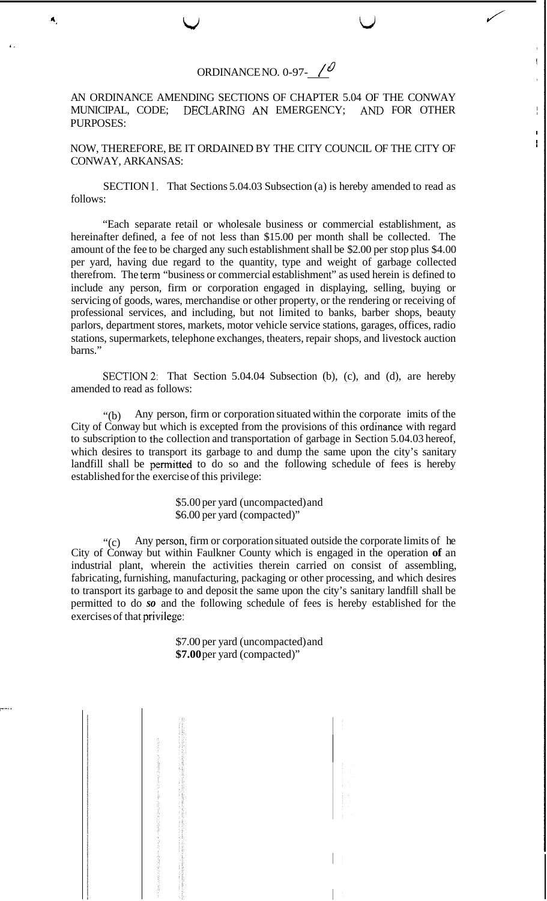## ORDINANCE NO. 0-97- *1 d'*

w v

*J'* 

, I

,

I I I

 $\mathbf{I}$ 

**1.** 

 $\blacktriangleleft$ 

AN ORDINANCE AMENDING SECTIONS OF CHAPTER 5.04 OF THE CONWAY MUNICIPAL, CODE; DECLARING *AN* EMERGENCY; *AND* FOR OTHER PURPOSES:

NOW, THEREFORE, BE IT ORDAINED BY THE CITY COUNCIL OF THE CITY OF CONWAY, ARKANSAS:

SECTION 1. That Sections 5.04.03 Subsection (a) is hereby amended to read as follows:

"Each separate retail or wholesale business or commercial establishment, as hereinafter defined, a fee of not less than \$15.00 per month shall be collected. The amount of the fee to be charged any such establishment shall be \$2.00 per stop plus \$4.00 per yard, having due regard to the quantity, type and weight of garbage collected therefrom. The term "business or commercial establishment" as used herein is defined to include any person, firm or corporation engaged in displaying, selling, buying or servicing of goods, wares, merchandise or other property, or the rendering or receiving of professional services, and including, but not limited to banks, barber shops, beauty parlors, department stores, markets, motor vehicle service stations, garages, offices, radio stations, supermarkets, telephone exchanges, theaters, repair shops, and livestock auction barns."

SECTION 2: That Section 5.04.04 Subsection (b), (c), and (d), are hereby amended to read as follows:

 $\cdot$ <sup>(b)</sup> Any person, firm or corporation situated within the corporate imits of the City of Conway but which is excepted from the provisions of this ordnance with regard to subscription to the collection and transportation of garbage in Section 5.04.03 hereof, which desires to transport its garbage to and dump the same upon the city's sanitary landfill shall be permitted to do so and the following schedule of fees is hereby established for the exercise of this privilege:

> \$5.00 per yard (uncompacted) and \$6.00 per yard (compacted)"

 $\cdot$  (c) Any person, firm or corporation situated outside the corporate limits of he City of Conway but within Faulkner County which is engaged in the operation **of** an industrial plant, wherein the activities therein carried on consist of assembling, fabricating, furnishing, manufacturing, packaging or other processing, and which desires to transport its garbage to and deposit the same upon the city's sanitary landfill shall be permitted to do *so* and the following schedule of fees is hereby established for the exercises of that privilege:

> \$7.00 per yard (uncompacted) and **\$7.00** per yard (compacted)"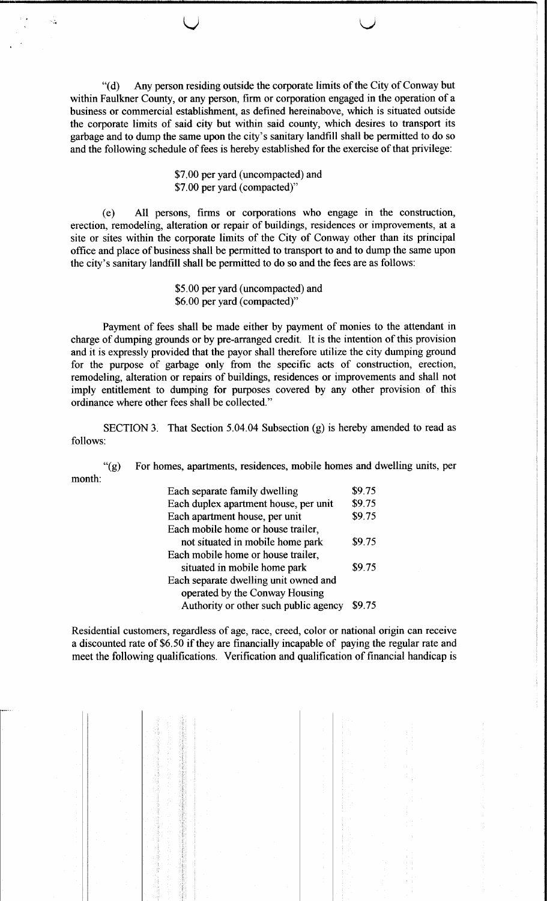"(d) Any person residing outside the corporate limits of the City of Conway but within Faulkner County, or any person, firm or corporation engaged in the operation of a business or commercial establishment, as defined hereinabove, which is situated outside the corporate limits of said city but within said county, which desires to transport its garbage and to dump the same upon the city's sanitary landfill shall be permitted to do so and the following schedule of fees is hereby established for the exercise of that privilege:

**--,-----------\_.\_-\*-------------------------------,**

u

## \$7.00 per yard (uncompacted) and \$7.00 per yard (compacted)"

(e) All persons, firms or corporations who engage in the construction, erection, remodeling, alteration or repair of buildings, residences or improvements, at a site or sites within the corporate limits of the City of Conway other than its principal office and place of business shall be permitted to transport to and to dump the same upon the city's sanitary landfill shall be permitted to do so and the fees are as follows:

> \$5.00 per yard (uncompacted) and \$6.00 per yard (compacted)"

Payment of fees shall be made either by payment of monies to the attendant in charge of dumping grounds or by pre-arranged credit. It is the intention of this provision and it is expressly provided that the payor shall therefore utilize the city dumping ground for the purpose of garbage only from the specific acts of construction, erection, remodeling, alteration or repairs of buildings, residences or improvements and shall not imply entitlement to dumping for purposes covered by any other provision of this ordinance where other fees shall be collected."

SECTION 3. That Section 5.04.04 Subsection (g) is hereby amended to read as follows:

"(g) For homes, apartments, residences, mobile homes and dwelling units, per month:

| Each separate family dwelling         | \$9.75 |
|---------------------------------------|--------|
| Each duplex apartment house, per unit | \$9.75 |
| Each apartment house, per unit        | \$9.75 |
| Each mobile home or house trailer,    |        |
| not situated in mobile home park      | \$9.75 |
| Each mobile home or house trailer,    |        |
| situated in mobile home park          | \$9.75 |
| Each separate dwelling unit owned and |        |
| operated by the Conway Housing        |        |
| Authority or other such public agency | S9 75  |

Residential customers, regardless of age, race, creed, color or national origin can receive a discounted rate of \$6.50 if they are financially incapable of paying the regular rate and meet the following qualifications. Verification and qualification of financial handicap is